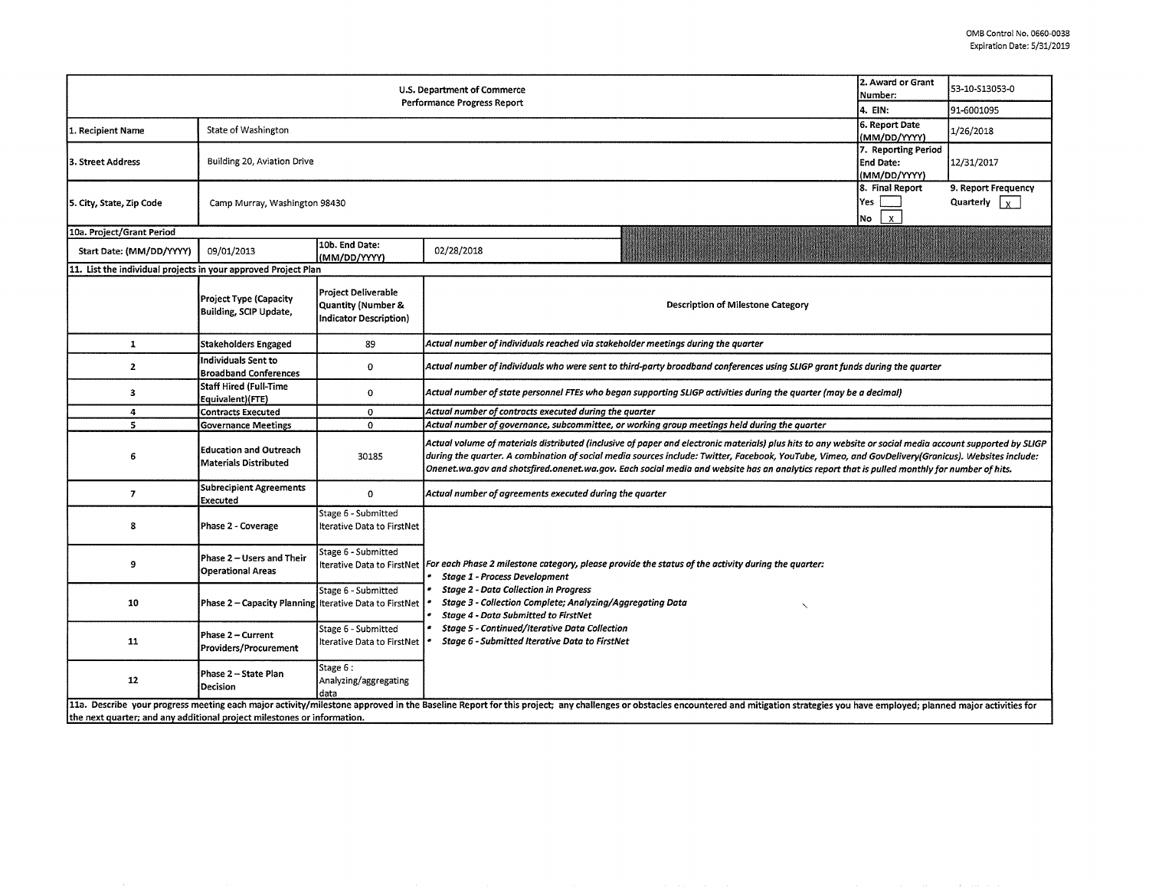| U.S. Department of Commerce<br>Performance Progress Report                                                                                                                                                                                                                                                |                                                         |                                                                                              |                                                                                                                                                                                                                                                                                                                                                                                                                                                                |  | 53-10-S13053-0<br>91-6001095 |  |  |  |  |  |
|-----------------------------------------------------------------------------------------------------------------------------------------------------------------------------------------------------------------------------------------------------------------------------------------------------------|---------------------------------------------------------|----------------------------------------------------------------------------------------------|----------------------------------------------------------------------------------------------------------------------------------------------------------------------------------------------------------------------------------------------------------------------------------------------------------------------------------------------------------------------------------------------------------------------------------------------------------------|--|------------------------------|--|--|--|--|--|
| 1. Recipient Name                                                                                                                                                                                                                                                                                         | State of Washington                                     | 4. EIN:<br>6. Report Date<br>(MM/DD/YYYY)                                                    | 1/26/2018                                                                                                                                                                                                                                                                                                                                                                                                                                                      |  |                              |  |  |  |  |  |
| 3. Street Address                                                                                                                                                                                                                                                                                         | Building 20, Aviation Drive                             | 7. Reporting Period<br><b>End Date:</b><br>(MM/DD/YYYY)                                      | 12/31/2017                                                                                                                                                                                                                                                                                                                                                                                                                                                     |  |                              |  |  |  |  |  |
| 5. City, State, Zip Code                                                                                                                                                                                                                                                                                  | Camp Murray, Washington 98430                           | 8. Final Report<br>Yes<br>$\mathsf{x}$<br>No                                                 | 9. Report Frequency<br>Quarterly $\vert x \vert$                                                                                                                                                                                                                                                                                                                                                                                                               |  |                              |  |  |  |  |  |
| 10a. Project/Grant Period                                                                                                                                                                                                                                                                                 |                                                         |                                                                                              |                                                                                                                                                                                                                                                                                                                                                                                                                                                                |  |                              |  |  |  |  |  |
| Start Date: (MM/DD/YYYY)                                                                                                                                                                                                                                                                                  | 09/01/2013                                              | 10b. End Date:<br>(MM/DD/YYYY)                                                               | 02/28/2018                                                                                                                                                                                                                                                                                                                                                                                                                                                     |  |                              |  |  |  |  |  |
| 11. List the individual projects in your approved Project Plan                                                                                                                                                                                                                                            |                                                         |                                                                                              |                                                                                                                                                                                                                                                                                                                                                                                                                                                                |  |                              |  |  |  |  |  |
|                                                                                                                                                                                                                                                                                                           | <b>Project Type (Capacity</b><br>Building, SCIP Update, | <b>Project Deliverable</b><br><b>Quantity (Number &amp;</b><br><b>Indicator Description)</b> | <b>Description of Milestone Category</b>                                                                                                                                                                                                                                                                                                                                                                                                                       |  |                              |  |  |  |  |  |
| $\mathbf{1}$                                                                                                                                                                                                                                                                                              | Stakeholders Engaged                                    | 89                                                                                           | Actual number of individuals reached via stakeholder meetings during the quarter                                                                                                                                                                                                                                                                                                                                                                               |  |                              |  |  |  |  |  |
| $\mathbf{2}$                                                                                                                                                                                                                                                                                              | Individuals Sent to<br><b>Broadband Conferences</b>     | 0                                                                                            | Actual number of individuals who were sent to third-party broadband conferences using SLIGP grant funds during the quarter                                                                                                                                                                                                                                                                                                                                     |  |                              |  |  |  |  |  |
| з                                                                                                                                                                                                                                                                                                         | <b>Staff Hired (Full-Time</b><br>Equivalent)(FTE)       | 0                                                                                            | Actual number of state personnel FTEs who began supporting SLIGP activities during the quarter (may be a decimal)                                                                                                                                                                                                                                                                                                                                              |  |                              |  |  |  |  |  |
| 4                                                                                                                                                                                                                                                                                                         | <b>Contracts Executed</b>                               | 0                                                                                            | Actual number of contracts executed during the quarter                                                                                                                                                                                                                                                                                                                                                                                                         |  |                              |  |  |  |  |  |
| 5                                                                                                                                                                                                                                                                                                         | <b>Governance Meetings</b>                              | 0                                                                                            | Actual number of governance, subcommittee, or working group meetings held during the quarter                                                                                                                                                                                                                                                                                                                                                                   |  |                              |  |  |  |  |  |
| 6                                                                                                                                                                                                                                                                                                         | <b>Education and Outreach</b><br>Materials Distributed  | 30185                                                                                        | Actual volume of materials distributed (inclusive of paper and electronic materials) plus hits to any website or social media account supported by SLIGP<br>during the quarter. A combination of social media sources include: Twitter, Facebook, YouTube, Vimeo, and GovDelivery(Granicus). Websites include:<br>Onenet.wa.gov and shotsfired.onenet.wa.gov. Each social media and website has an analytics report that is pulled monthly for number of hits. |  |                              |  |  |  |  |  |
| $\overline{ }$                                                                                                                                                                                                                                                                                            | <b>Subrecipient Agreements</b><br>Executed              | 0                                                                                            | Actual number of agreements executed during the quarter                                                                                                                                                                                                                                                                                                                                                                                                        |  |                              |  |  |  |  |  |
| 8                                                                                                                                                                                                                                                                                                         | Phase 2 - Coverage                                      | Stage 6 - Submitted<br>Iterative Data to FirstNet                                            |                                                                                                                                                                                                                                                                                                                                                                                                                                                                |  |                              |  |  |  |  |  |
| و                                                                                                                                                                                                                                                                                                         | Phase 2 – Users and Their<br><b>Operational Areas</b>   | Stage 6 - Submitted                                                                          | Iterative Data to FirstNet For each Phase 2 milestone category, please provide the status of the activity during the quarter:<br><b>Stage 1 - Process Development</b>                                                                                                                                                                                                                                                                                          |  |                              |  |  |  |  |  |
| 10                                                                                                                                                                                                                                                                                                        | Phase 2 - Capacity Planning Iterative Data to FirstNet  | Stage 6 - Submitted                                                                          | <b>Stage 2 - Data Collection in Progress</b><br>Stage 3 - Collection Complete; Analyzing/Aggregating Data<br><b>Stage 4 - Data Submitted to FirstNet</b>                                                                                                                                                                                                                                                                                                       |  |                              |  |  |  |  |  |
| 11                                                                                                                                                                                                                                                                                                        | Phase 2 - Current<br>Providers/Procurement              | Stage 6 - Submitted<br>Iterative Data to FirstNet                                            | <b>Stage 5 - Continued/Iterative Data Collection</b><br>Stage 6 - Submitted Iterative Data to FirstNet                                                                                                                                                                                                                                                                                                                                                         |  |                              |  |  |  |  |  |
| 12                                                                                                                                                                                                                                                                                                        | Phase 2 - State Plan<br><b>Decision</b>                 | Stage 6:<br>Analyzing/aggregating<br>data                                                    |                                                                                                                                                                                                                                                                                                                                                                                                                                                                |  |                              |  |  |  |  |  |
| 11a. Describe your progress meeting each major activity/milestone approved in the Baseline Report for this project; any challenges or obstacles encountered and mitigation strategies you have employed; planned major activit<br>the next quarter; and any additional project milestones or information. |                                                         |                                                                                              |                                                                                                                                                                                                                                                                                                                                                                                                                                                                |  |                              |  |  |  |  |  |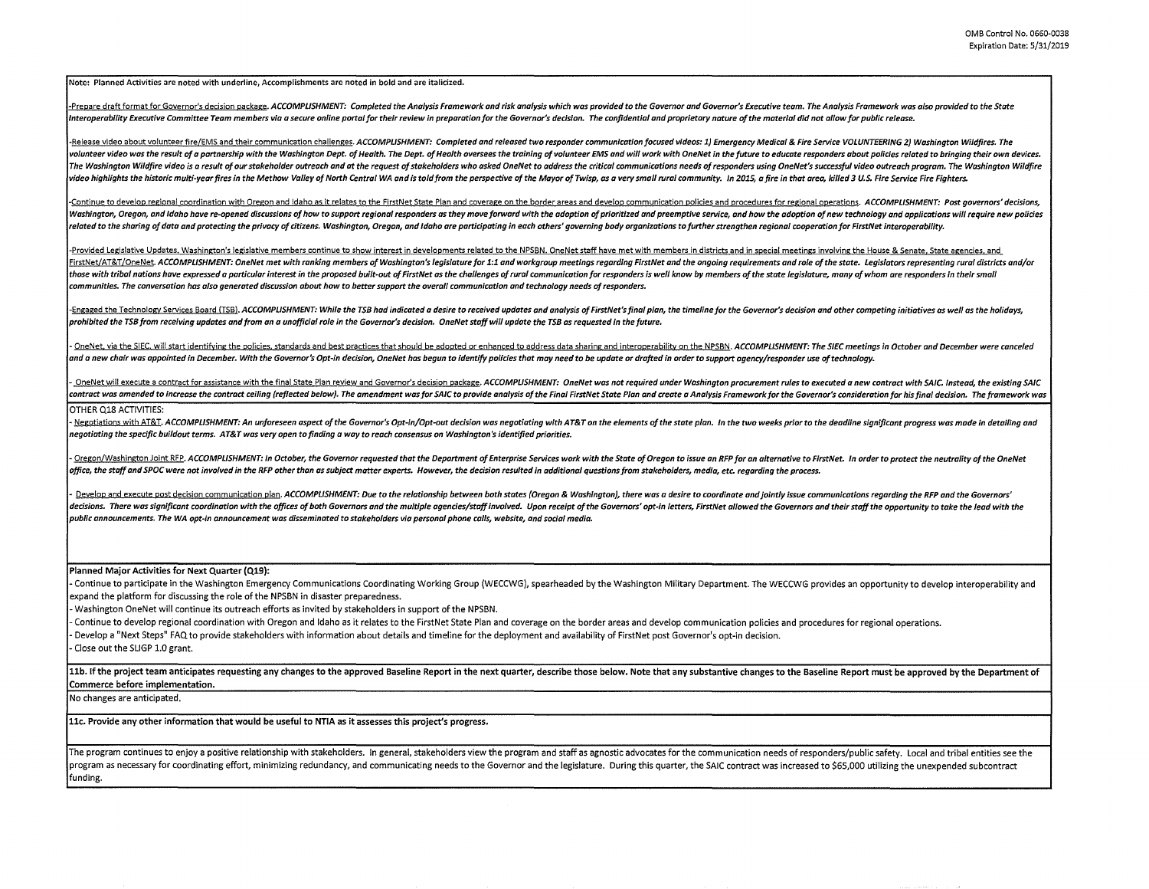Note: Planned Activities are noted with underline, Accomplishments are noted in bold and are italicized.

-Prepare draft format for Governor's decision package. ACCOMPLISHMENT: Completed the Analysis Framework and risk analysis which was provided to the Governor and Governor's Executive team. The Analysis Framework was also pr Interoperability Executive Committee Team members via a secure online portal for their review in preparation for the Governor's decision. The confidential and proprietary nature of the material did not allow for public rel

-Release video about volunteer fire/EMS and their communication challenges. ACCOMPLISHMENT: Completed and released two responder communication focused videos: 1) Emergency Medical & Fire Service VOLUNTEERING 2) Washington volunteer video was the result of a partnership with the Washington Dept. of Health. The Dept. of Health oversees the training of volunteer EMS and will work with OneNet in the future to educate responders about policies r .<br>The Washinaton Wildfire video is a result of our stakeholder outreach and at the reauest of stakeholders who asked OneNet to address the critical communications needs of responders using OneNet's successful video outreac video highlights the historic multi-year fires in the Methow Valley of North Central WA and is told from the perspective of the Mayor of Twisp, as a very small rural community. In 2015, a fire in that area, killed 3 U.S. F

-Continue to develop regional coordination with Oregon and Idaho as it relates to the FirstNet State Plan and coverage on the border areas and develop communication policies and procedures for regional operations, ACCOMPLI Washington, Oregon, and Idaho have re-opened discussions of how to support regional responders as they move forward with the adoption of prioritized and preemptive service, and how the adoption of new technology and applic related to the sharing of data and protecting the privacy of citizens. Washington, Oregon, and Idaho are participating in each others' aoverning body organizations to further strengthen regional cooperation for FirstNet in

-Provided Legislative Updates, Washington's legislative members continue to show interest in developments related to the NPSBN. OneNet staff have met with members in districts and in special meetings involving the House & FirstNet/AT&T/OneNet. ACCOMPLISHMENT: OneNet met with ranking members of Washington's legislature for 1:1 and workgroup meetings regarding FirstNet and the ongoing requirements and role of the state. Legislators representi those with tribal nations have expressed a particular interest in the proposed built-out of FirstNet as the challenges of rural communication for responders is well know by members of the state legislature, many of whom ar *communities. The conversation has also generated discussion about how to better support the overall communication and technology needs of responders.* 

-Engaged the Technology Services Board (TSB), ACCOMPLISHMENT: While the TSB had indicated a desire to received updates and analysis of FirstNet's final plan, the timeline for the Governor's decision and other competing ini *prohibited the TSB from receiving updates and from an a unofficial role in the Governor's decision. OneNet staff will update the TSB as requested in the future.* 

- OneNet, via the SIEC, will start identifying the policies, standards and best practices that should be adopted or enhanced to address data sharing and interoperability on the NPSBN. ACCOMPLISHMENT: The SIEC meetings in O *and a new chair was appointed in December. With the Governor's Opt-in decision, OneNet has begun to identify policies that may need to be update or drafted in order to support agency/responder use of technology.* 

OneNet will execute a contract for assistance with the final State Plan review and Governor's decision package. ACCOMPLISHMENT: OneNet was not required under Washington procurement rules to executed a new contract with SAI contract was amended to increase the contract ceiling (reflected below). The amendment was for SAIC to provide analysis of the Final FirstNet State Plan and create a Analysis Framework for the Governor's consideration for OTHER Q18 ACTIVITIES:

- Negotiations with AT&T. ACCOMPLISHMENT: An unforeseen aspect of the Governor's Opt-in/Opt-out decision was negotiating with AT&T on the elements of the state plan. In the two weeks prior to the deadline significant progr *negotiating the specific buildout terms. AT&T was very open to finding a way to reach consensus on Washington's identified priorities.* 

- Oregon/Washington Joint RFP. ACCOMPLISHMENT: In October, the Governor requested that the Department of Enterprise Services work with the State of Oregon to issue an RFP for an alternative to FirstNet. In order to protect *office, the staff and SPOC were not involved in the RFP other than as subject matter experts. However, the decision resulted in additional questions from stakeholders, media, etc. regarding the process.* 

Develop and execute post decision communication plan. ACCOMPLISHMENT: Due to the relationship between both states (Oregon & Washington), there was a desire to coordinate and iointly issue communications regarding the RFP a decisions. There was significant coordination with the offices of both Governors and the multiple agencies/staff involved. Upon receipt of the Governors' opt-in letters, FirstNet allowed the Governors and their staff the o *public announcements. The WA opt-in announcement was disseminated to stakeholders via personal phone calls, website, and social media.* 

**Planned Major Activities for Next Quarter (Q19):** 

- Continue to participate in the Washington Emergency Communications Coordinating Working Group (WECCWG), spearheaded by the Washington Military Department. The WECCWG provides an opportunity to develop interoperability and expand the platform for discussing the role of the NPSBN in disaster preparedness.

- Washington OneNet will continue its outreach efforts as invited by stakeholders in support of the NPSBN.

- Continue to develop regional coordination with Oregon and Idaho as it relates to the FirstNet State Plan and coverage on the border areas and develop communication policies and procedures for regional operations. - Develop a "Next Steps" FAQ to provide stakeholders with information about details and timeline for the deployment and availability of FirstNet post Governor's opt-in decision.

- Close out the SLIGP 1.0 grant.

11b. If the project team anticipates requesting any changes to the approved Baseline Report in the next quarter, describe those below. Note that any substantive changes to the Baseline Report must be approved by the Depart **Commerce before implementation.** 

No changes are anticipated.

**llc. Provide any other information that would be useful to NTIA as it assesses this project's progress.** 

The program continues to enjoy a positive relationship with stakeholders, in general, stakeholders view the program and staff as agnostic advocates for the communication needs of responders/public safety. Local and tribal program as necessary for coordinating effort, minimizing redundancy, and communicating needs to the Governor and the legislature. During this quarter, the SAIC contract was increased to \$65,000 utilizing the unexpended sub funding.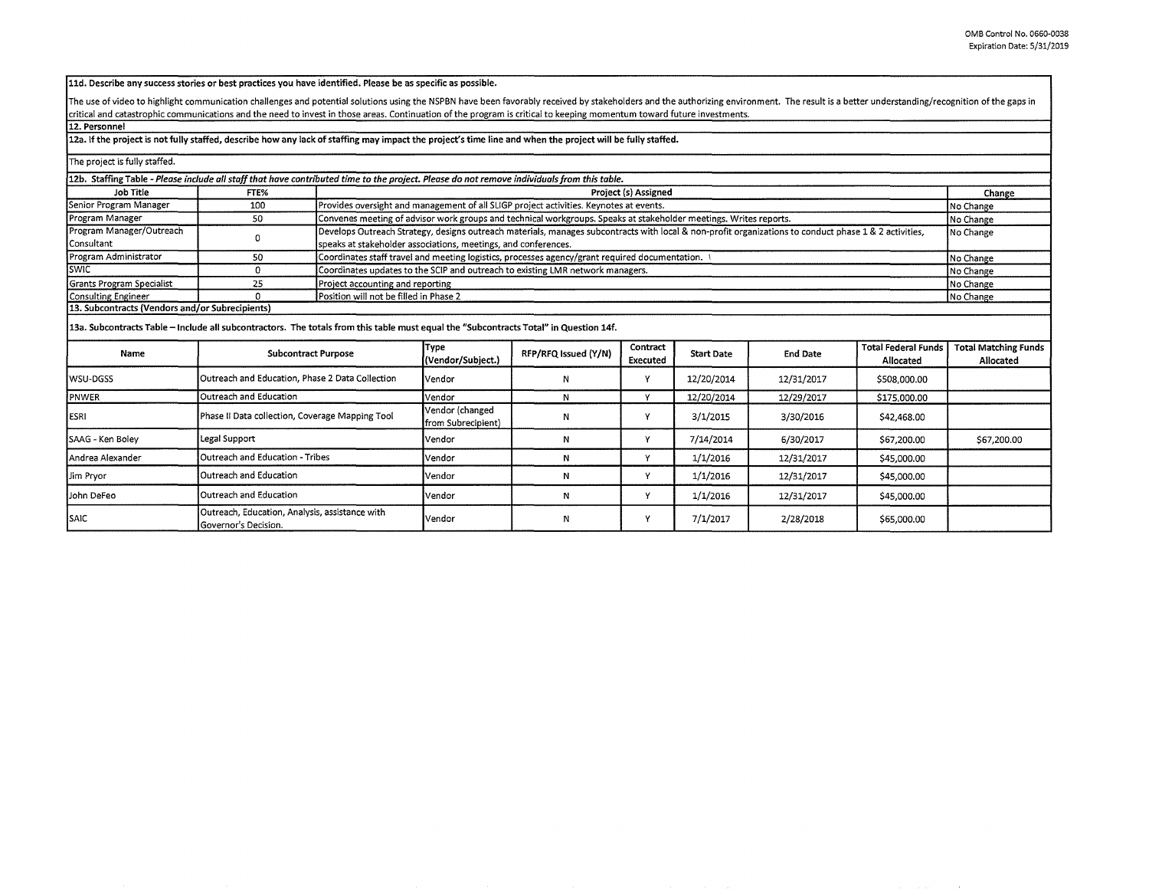**lld. Describe any success stories or best practices you have identified. Please be as specific as possible.** 

The use of video to highlight communication challenges and potential solutions using the NSPBN have been favorably received by stakeholders and the authorizing environment. The result is a better understanding/recognition critical and catastrophic communications and the need to invest in those areas. Continuation of the program is critical to keeping momentum toward future investments.

**12. Personnel** 

## **12a. If the project is not fully staffed, describe how any lack of staffing may impact the project's time line and when the project will be fully staffed.**

| The project is fully staffed.                                                                                                               |                                                                        |                                                                                                                                                       |                                                                                                                   |                      |                      |                   |                 |                                         |                                          |  |  |
|---------------------------------------------------------------------------------------------------------------------------------------------|------------------------------------------------------------------------|-------------------------------------------------------------------------------------------------------------------------------------------------------|-------------------------------------------------------------------------------------------------------------------|----------------------|----------------------|-------------------|-----------------|-----------------------------------------|------------------------------------------|--|--|
| 12b. Staffing Table - Please include all staff that have contributed time to the project. Please do not remove individuals from this table. |                                                                        |                                                                                                                                                       |                                                                                                                   |                      |                      |                   |                 |                                         |                                          |  |  |
| Job Title                                                                                                                                   | FTE%                                                                   |                                                                                                                                                       | <b>Project (s) Assigned</b>                                                                                       |                      |                      |                   |                 |                                         |                                          |  |  |
| Senior Program Manager                                                                                                                      | 100                                                                    |                                                                                                                                                       | Provides oversight and management of all SLIGP project activities. Keynotes at events.                            |                      |                      |                   |                 |                                         |                                          |  |  |
| Program Manager                                                                                                                             | 50                                                                     |                                                                                                                                                       | Convenes meeting of advisor work groups and technical workgroups. Speaks at stakeholder meetings. Writes reports. |                      |                      |                   |                 |                                         |                                          |  |  |
| Program Manager/Outreach                                                                                                                    | $^{\circ}$                                                             | Develops Outreach Strategy, designs outreach materials, manages subcontracts with local & non-profit organizations to conduct phase 1 & 2 activities, |                                                                                                                   | No Change            |                      |                   |                 |                                         |                                          |  |  |
| Consultant                                                                                                                                  |                                                                        |                                                                                                                                                       | speaks at stakeholder associations, meetings, and conferences.                                                    |                      |                      |                   |                 |                                         |                                          |  |  |
| Program Administrator                                                                                                                       | 50                                                                     |                                                                                                                                                       | Coordinates staff travel and meeting logistics, processes agency/grant required documentation.<br>No Change       |                      |                      |                   |                 |                                         |                                          |  |  |
| <b>SWIC</b>                                                                                                                                 | $\Omega$                                                               |                                                                                                                                                       | Coordinates updates to the SCIP and outreach to existing LMR network managers.<br>No Change                       |                      |                      |                   |                 |                                         |                                          |  |  |
| Grants Program Specialist                                                                                                                   | 25                                                                     |                                                                                                                                                       | Project accounting and reporting<br>No Change                                                                     |                      |                      |                   |                 |                                         |                                          |  |  |
| <b>Consulting Engineer</b>                                                                                                                  | $\Omega$                                                               |                                                                                                                                                       | Position will not be filled in Phase 2<br>No Change                                                               |                      |                      |                   |                 |                                         |                                          |  |  |
| 13. Subcontracts (Vendors and/or Subrecipients)                                                                                             |                                                                        |                                                                                                                                                       |                                                                                                                   |                      |                      |                   |                 |                                         |                                          |  |  |
| 13a. Subcontracts Table - Include all subcontractors. The totals from this table must equal the "Subcontracts Total" in Question 14f.       |                                                                        |                                                                                                                                                       |                                                                                                                   |                      |                      |                   |                 |                                         |                                          |  |  |
| Name                                                                                                                                        | <b>Subcontract Purpose</b>                                             |                                                                                                                                                       | Type<br>(Vendor/Subject.)                                                                                         | RFP/RFQ Issued (Y/N) | Contract<br>Executed | <b>Start Date</b> | <b>End Date</b> | <b>Total Federal Funds</b><br>Allocated | <b>Total Matching Funds</b><br>Allocated |  |  |
| wsu-dgss                                                                                                                                    | Outreach and Education, Phase 2 Data Collection                        |                                                                                                                                                       | <b>Vendor</b>                                                                                                     | Ν                    | Υ                    | 12/20/2014        | 12/31/2017      | \$508,000.00                            |                                          |  |  |
| PNWER                                                                                                                                       | Outreach and Education                                                 |                                                                                                                                                       | Vendor                                                                                                            | N                    | Y                    | 12/20/2014        | 12/29/2017      | \$175,000.00                            |                                          |  |  |
| ESRI                                                                                                                                        | Phase II Data collection, Coverage Mapping Tool                        |                                                                                                                                                       | Vendor (changed<br>from Subrecipient)                                                                             | N                    | Y                    | 3/1/2015          | 3/30/2016       | \$42,468.00                             |                                          |  |  |
| SAAG - Ken Boley                                                                                                                            | Legal Support                                                          |                                                                                                                                                       | Vendor                                                                                                            | N                    | Υ                    | 7/14/2014         | 6/30/2017       | \$67,200.00                             | \$67,200.00                              |  |  |
| lAndrea Alexander                                                                                                                           | Outreach and Education - Tribes                                        |                                                                                                                                                       | Vendor                                                                                                            | Ν                    | Y                    | 1/1/2016          | 12/31/2017      | \$45,000.00                             |                                          |  |  |
| Jim Pryor                                                                                                                                   | Outreach and Education                                                 |                                                                                                                                                       | Vendor                                                                                                            | N                    | Y                    | 1/1/2016          | 12/31/2017      | \$45,000.00                             |                                          |  |  |
| John DeFeo                                                                                                                                  | Outreach and Education                                                 |                                                                                                                                                       | Vendor                                                                                                            | N                    | Υ                    | 1/1/2016          | 12/31/2017      | \$45,000.00                             |                                          |  |  |
| SAIC                                                                                                                                        | Outreach, Education, Analysis, assistance with<br>Governor's Decision. |                                                                                                                                                       | Vendor                                                                                                            | N                    | Y                    | 7/1/2017          | 2/28/2018       | \$65,000.00                             |                                          |  |  |